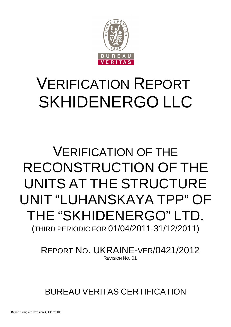

# VERIFICATION REPORT SKHIDENERGO LLC

## VERIFICATION OF THE RECONSTRUCTION OF THE UNITS AT THE STRUCTURE UNIT "LUHANSKAYA TPP" OF THE "SKHIDENERGO" LTD. (THIRD PERIODIC FOR 01/04/2011-31/12/2011)

REPORT NO. UKRAINE-VER/0421/2012 REVISION NO. 01

BUREAU VERITAS CERTIFICATION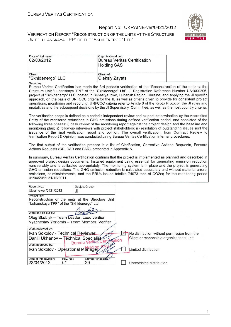

| Date of first issue:<br>02/03/2012                                                                               | Organizational unit:<br><b>Bureau Veritas Certification</b><br><b>Holding SAS</b>                                                                                                                                                                                                                                                                                                                                                                                                                                                                                                                                                                                                                   |
|------------------------------------------------------------------------------------------------------------------|-----------------------------------------------------------------------------------------------------------------------------------------------------------------------------------------------------------------------------------------------------------------------------------------------------------------------------------------------------------------------------------------------------------------------------------------------------------------------------------------------------------------------------------------------------------------------------------------------------------------------------------------------------------------------------------------------------|
| Client:<br>"Skhidenergo" LLC                                                                                     | Client ref.:<br><b>Oleksiy Zayats</b>                                                                                                                                                                                                                                                                                                                                                                                                                                                                                                                                                                                                                                                               |
| Summary:                                                                                                         | Bureau Veritas Certification has made the 3rd periodic verification of the "Reconstruction of the units at the<br>Structure Unit "Luhanskaya TPP" of the "Skhidenergo" Ltd", JI Registration Reference Number UA1000206,<br>project of "Skhidenergo" LLC located in Schastya town, Luhansk Region, Ukraine, and applying the JI specific<br>approach, on the basis of UNFCCC criteria for the JI, as well as criteria given to provide for consistent project<br>operations, monitoring and reporting. UNFCCC criteria refer to Article 6 of the Kyoto Protocol, the JI rules and<br>modalities and the subsequent decisions by the JI Supervisory Committee, as well as the host country criteria. |
|                                                                                                                  | The verification scope is defined as a periodic independent review and ex post determination by the Accredited<br>Entity of the monitored reductions in GHG emissions during defined verification period, and consisted of the<br>following three phases: i) desk review of the monitoring report against the project design and the baseline and<br>monitoring plan; ii) follow-up interviews with project stakeholders; iii) resolution of outstanding issues and the<br>issuance of the final verification report and opinion. The overall verification, from Contract Review to<br>Verification Report & Opinion, was conducted using Bureau Veritas Certification internal procedures.         |
| Actions Requests (CR, CAR and FAR), presented in Appendix A.                                                     | The first output of the verification process is a list of Clarification, Corrective Actions Requests, Forward                                                                                                                                                                                                                                                                                                                                                                                                                                                                                                                                                                                       |
| 01/04/2011-31/12/2011.                                                                                           | In summary, Bureau Veritas Certification confirms that the project is implemented as planned and described in<br>approved project design documents. Installed equipment being essential for generating emission reduction<br>runs reliably and is calibrated appropriately. The monitoring system is in place and the project is generating<br>GHG emission reductions. The GHG emission reduction is calculated accurately and without material errors,<br>omissions, or misstatements, and the ERUs issued totalize 74973 tons of CO2eq for the monitoring period                                                                                                                                 |
| Report No.:<br>Subject Group:<br>Ukraine-ver/0421/2012<br>JI                                                     |                                                                                                                                                                                                                                                                                                                                                                                                                                                                                                                                                                                                                                                                                                     |
| Project title:<br>Reconstruction of the units at the Structure Unit<br>"Luhanskaya TPP" of the "Skhidenergo" Ltd |                                                                                                                                                                                                                                                                                                                                                                                                                                                                                                                                                                                                                                                                                                     |
| Work carried out by:<br>Oleg Skoblyk - Team Leader, Lead verifier<br>Vyacheslav Yeriomin - Team Member, Verifier |                                                                                                                                                                                                                                                                                                                                                                                                                                                                                                                                                                                                                                                                                                     |
| Work reviewed by:<br>Ivan Sokolov - Technical Reviewer                                                           | $\times$<br>No distribution without permission from the                                                                                                                                                                                                                                                                                                                                                                                                                                                                                                                                                                                                                                             |
| Daniil Ukhanov - Technical Specialist<br>150911                                                                  | Client or responsible organizational unit<br>tion                                                                                                                                                                                                                                                                                                                                                                                                                                                                                                                                                                                                                                                   |
| Work approved by:<br>Ivan Sokolov - Operational Manager                                                          | Limited distribution                                                                                                                                                                                                                                                                                                                                                                                                                                                                                                                                                                                                                                                                                |
| Rev. No.:<br>Date of this revision:<br>23/04/2012<br>01<br>29                                                    | Number of pages:<br>Unrestricted distribution                                                                                                                                                                                                                                                                                                                                                                                                                                                                                                                                                                                                                                                       |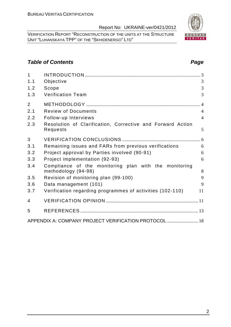VERIFICATION REPORT "RECONSTRUCTION OF THE UNITS AT THE STRUCTURE UNIT "LUHANSKAYA TPP" OF THE "SKHIDENERGO" LTD"

#### **Table of Contents Page 2014**

| $\mathbf{1}$   |                                                                              |                |
|----------------|------------------------------------------------------------------------------|----------------|
| 1.1            | Objective                                                                    | 3              |
| 1.2            | Scope                                                                        | 3              |
| 1.3            | <b>Verification Team</b>                                                     | 3              |
| $\overline{2}$ |                                                                              | $\overline{4}$ |
| 2.1            | <b>Review of Documents</b>                                                   | $\overline{4}$ |
| 2.2            | Follow-up Interviews                                                         | $\overline{4}$ |
| 2.3            | Resolution of Clarification, Corrective and Forward Action<br>Requests       | 5              |
| 3              |                                                                              |                |
| 3.1            | Remaining issues and FARs from previous verifications                        | 6              |
| 3.2            | Project approval by Parties involved (90-91)                                 | 6              |
| 3.3            | Project implementation (92-93)                                               | 6              |
| 3.4            | Compliance of the monitoring plan with the monitoring<br>methodology (94-98) | 8              |
| 3.5            | Revision of monitoring plan (99-100)                                         | 9              |
| 3.6            | Data management (101)                                                        | 9              |
| 3.7            | Verification regarding programmes of activities (102-110)                    | 11             |
| 4              |                                                                              |                |
| 5              |                                                                              |                |
|                | APPENDIX A: COMPANY PROJECT VERIFICATION PROTOCOL 18                         |                |

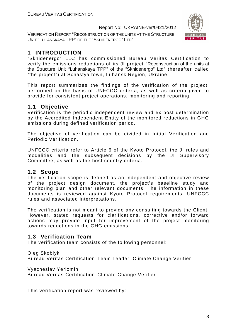VERIFICATION REPORT "RECONSTRUCTION OF THE UNITS AT THE STRUCTURE UNIT "LUHANSKAYA TPP" OF THE "SKHIDENERGO" LTD"



#### **1 INTRODUCTION**

"Skhidenergo" LLC has commissioned Bureau Veritas Certification to verify the emissions reductions of its JI project "Reconstruction of the units at the Structure Unit "Luhanskaya TPP" of the "Skhidenergo" Ltd" (hereafter called "the project") at Schastya town, Luhansk Region, Ukraine.

This report summarizes the findings of the verification of the project, performed on the basis of UNFCCC criteria, as well as criteria given to provide for consistent project operations, monitoring and reporting.

#### **1.1 Objective**

Verification is the periodic independent review and ex post determination by the Accredited Independent Entity of the monitored reductions in GHG emissions during defined verification period.

The objective of verification can be divided in Initial Verification and Periodic Verification.

UNFCCC criteria refer to Article 6 of the Kyoto Protocol, the JI rules and modalities and the subsequent decisions by the JI Supervisory Committee, as well as the host country criteria.

#### **1.2 Scope**

The verification scope is defined as an independent and objective review of the project design document, the project's baseline study and monitoring plan and other relevant documents. The information in these documents is reviewed against Kyoto Protocol requirements, UNFCCC rules and associated interpretations.

The verification is not meant to provide any consulting towards the Client. However, stated requests for clarifications, corrective and/or forward actions may provide input for improvement of the project monitoring towards reductions in the GHG emissions.

#### **1.3 Verification Team**

The verification team consists of the following personnel:

Oleg Skoblyk

Bureau Veritas Certification Team Leader, Climate Change Verifier

Vyacheslav Yeriomin

Bureau Veritas Certification Climate Change Verifier

This verification report was reviewed by: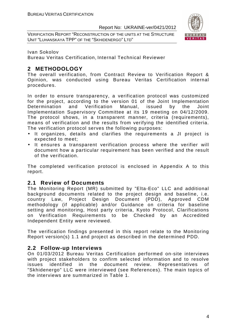VERIFICATION REPORT "RECONSTRUCTION OF THE UNITS AT THE STRUCTURE UNIT "LUHANSKAYA TPP" OF THE "SKHIDENERGO" LTD"



Ivan Sokolov

Bureau Veritas Certification, Internal Technical Reviewer

#### **2 METHODOLOGY**

The overall verification, from Contract Review to Verification Report & Opinion, was conducted using Bureau Veritas Certification internal procedures.

In order to ensure transparency, a verification protocol was customized for the project, according to the version 01 of the Joint Implementation Determination and Verification Manual, issued by the Joint Implementation Supervisory Committee at its 19 meeting on 04/12/2009. The protocol shows, in a transparent manner, criteria (requirements), means of verification and the results from verifying the identified criteria. The verification protocol serves the following purposes:

- It organizes, details and clarifies the requirements a JI project is expected to meet;
- It ensures a transparent verification process where the verifier will document how a particular requirement has been verified and the result of the verification.

The completed verification protocol is enclosed in Appendix A to this report.

#### **2.1 Review of Documents**

The Monitoring Report (MR) submitted by "Elta-Eco" LLC and additional background documents related to the project design and baseline, i.e. country Law, Project Design Document (PDD), Approved CDM methodology (if applicable) and/or Guidance on criteria for baseline setting and monitoring, Host party criteria, Kyoto Protocol, Clarifications on Verification Requirements to be Checked by an Accredited Independent Entity were reviewed.

The verification findings presented in this report relate to the Monitoring Report version(s) 1.1 and project as described in the determined PDD.

#### **2.2 Follow-up Interviews**

On 01/03/2012 Bureau Veritas Certification performed on-site interviews with project stakeholders to confirm selected information and to resolve issues identified in the document review. Representatives of "Skhidenergo" LLC were interviewed (see References). The main topics of the interviews are summarized in Table 1.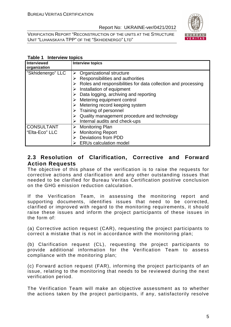VERIFICATION REPORT "RECONSTRUCTION OF THE UNITS AT THE STRUCTURE UNIT "LUHANSKAYA TPP" OF THE "SKHIDENERGO" LTD"



#### **Table 1 Interview topics**

| <b>Interviewed</b><br>organization | <b>Interview topics</b>                                       |
|------------------------------------|---------------------------------------------------------------|
| "Skhidenergo" LLC                  | Organizational structure                                      |
|                                    | Responsibilities and authorities                              |
|                                    | Roles and responsibilities for data collection and processing |
|                                    | Installation of equipment                                     |
|                                    | Data logging, archiving and reporting                         |
|                                    | $\triangleright$ Metering equipment control                   |
|                                    | Metering record keeping system                                |
|                                    | Training of personnel                                         |
|                                    | Quality management procedure and technology                   |
|                                    | Internal audits and check-ups                                 |
| <b>CONSULTANT</b>                  | Monitoring Plan<br>➤                                          |
| "Elta-Eco" LLC                     | <b>Monitoring Report</b>                                      |
|                                    | <b>Deviations from PDD</b>                                    |
|                                    | <b>ERUs calculation model</b>                                 |

#### **2.3 Resolution of Clarification, Corrective and Forward Action Requests**

The objective of this phase of the verification is to raise the requests for corrective actions and clarification and any other outstanding issues that needed to be clarified for Bureau Veritas Certification positive conclusion on the GHG emission reduction calculation.

If the Verification Team, in assessing the monitoring report and supporting documents, identifies issues that need to be corrected, clarified or improved with regard to the monitoring requirements, it should raise these issues and inform the project participants of these issues in the form of:

(a) Corrective action request (CAR), requesting the project participants to correct a mistake that is not in accordance with the monitoring plan;

(b) Clarification request (CL), requesting the project participants to provide additional information for the Verification Team to assess compliance with the monitoring plan;

(c) Forward action request (FAR), informing the project participants of an issue, relating to the monitoring that needs to be reviewed during the next verification period.

The Verification Team will make an objective assessment as to whether the actions taken by the project participants, if any, satisfactorily resolve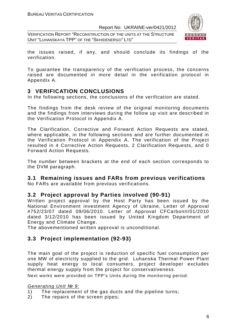VERIFICATION REPORT "RECONSTRUCTION OF THE UNITS AT THE STRUCTURE UNIT "LUHANSKAYA TPP" OF THE "SKHIDENERGO" LTD"



the issues raised, if any, and should conclude its findings of the verification.

To guarantee the transparency of the verification process, the concerns raised are documented in more detail in the verification protocol in Appendix A.

#### **3 VERIFICATION CONCLUSIONS**

In the following sections, the conclusions of the verification are stated.

The findings from the desk review of the original monitoring documents and the findings from interviews during the follow up visit are described in the Verification Protocol in Appendix A.

The Clarification, Corrective and Forward Action Requests are stated, where applicable, in the following sections and are further documented in the Verification Protocol in Appendix A. The verification of the Project resulted in 4 Corrective Action Requests, 2 Clarification Requests, and 0 Forward Action Requests.

The number between brackets at the end of each section corresponds to the DVM paragraph.

#### **3.1 Remaining issues and FARs from previous verifications**

No FARs are available from previous verifications.

#### **3.2 Project approval by Parties involved (90-91)**

Written project approval by the Host Party has been issued by the National Environment investment Agency of Ukraine, Letter of Approval #752/23/07 dated 09/06/2010. Letter of Approval CFCarbonII/01/2010 dated 3/12/2010 has been issued by United Kingdom Department of Energy and Climate Change.

The abovementioned written approval is unconditional.

#### **3.3 Project implementation (92-93)**

The main goal of the project is reduction of specific fuel consumption per one MW of electricity supplied to the grid. Luhanska Thermal Power Plant supply heat energy to local consumers, project developer excludes thermal energy supply from the project for conservativeness.

Next works were provided on TPP's Units during the monitoring period:

#### Generating Unit *№* 9:

- 1) The replacement of the gas ducts and the pipeline turns;
- 2) The repairs of the screen pipes;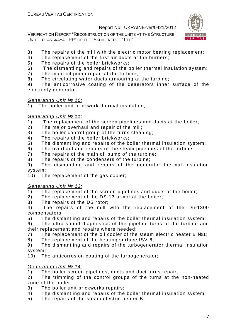VERIFICATION REPORT "RECONSTRUCTION OF THE UNITS AT THE STRUCTURE UNIT "LUHANSKAYA TPP" OF THE "SKHIDENERGO" LTD"



- 3) The repairs of the mill with the electric motor bearing replacement;
- 4) The replacement of the first air ducts at the burners;
- 5) The repairs of the boiler brickworks;
- 6) The dismantling and repairs of the boiler thermal insulation system;
- 7) The main oil pump repair at the turbine;
- 8) The circulating water ducts armouring at the turbine;

9) The anticorrosive coating of the deaerators inner surface of the electricity generator;

#### Generating Unit *№* 10:

1) The boiler unit brickwork thermal insulation;

#### Generating Unit *№* 11:

- 1) The replacement of the screen pipelines and ducts at the boiler;
- 2) The major overhaul and repair of the mill;
- 3) The boiler control group of the turns cleaning;
- 4) The repairs of the boiler brickworks;
- 5) The dismantling and repairs of the boiler thermal insulation system;
- 6) The overhaul and repairs of the steam pipelines of the turbine;
- 7) The repairs of the main oil pump of the turbine;
- 8) The repairs of the condensers of the turbine;

9) The dismantling and repairs of the generator thermal insulation system;;

10) The replacement of the gas cooler;

#### Generating Unit *№* 13:

1) The replacement of the screen pipelines and ducts at the boiler;

- 2) The replacement of the DS-13 armor at the boiler;
- 3) The repairs of the DS rotor;

4) The repairs of the mill with the replacement of the Du-1300 compensators;

5) The dismantling and repairs of the boiler thermal insulation system;

6) The ultra-sound diagnostics of the pipeline turns of the turbine and their replacement and repairs where needed;

- 7) The replacement of the oil cooler of the steam electric heater B №1;
- 8) The replacement of the heating surface ISV-6;

9) The dismantling and repairs of the turbogenerator thermal insulation system;

10) The anticorrosion coating of the turbogenerator;

#### Generating Unit *№* 14:

1) The boiler screen pipelines, ducts and duct turns repair;

2) The trimming of the control groups of the turns at the non-heated zone of the boiler;

- 3) The boiler unit brickworks repairs;
- 4) The dismantling and repairs of the boiler thermal insulation system;
- 5) The repairs of the steam electric heater B;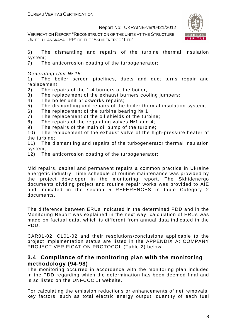VERIFICATION REPORT "RECONSTRUCTION OF THE UNITS AT THE STRUCTURE UNIT "LUHANSKAYA TPP" OF THE "SKHIDENERGO" LTD"



6) The dismantling and repairs of the turbine thermal insulation system;

7) The anticorrosion coating of the turbogenerator;

Generating Unit *№* 15:

1) The boiler screen pipelines, ducts and duct turns repair and replacement;

- 2) The repairs of the 1-4 burners at the boiler;
- 3) The replacement of the exhaust burners cooling jumpers;
- 4) The boiler unit brickworks repairs;
- 5) The dismantling and repairs of the boiler thermal insulation system;
- 6) The replacement of the turbine bearing  $N<sub>2</sub>$  1;
- 7) The replacement of the oil shields of the turbine;
- 8) The repairs of the regulating valves №1 and 4;
- 9) The repairs of the main oil pump of the turbine;

10) The replacement of the exhaust valve of the high-pressure heater of the turbine;

11) The dismantling and repairs of the turbogenerator thermal insulation system;

12) The anticorrosion coating of the turbogenerator;

Mid repairs, capital and permanent repairs a common practice in Ukraine energetic industry. Time schedule of routine maintenance was provided by the project developer in the monitoring report. The Skhidenergo documents dividing project and routine repair works was provided to AIE and indicated in the section 5 REFERENCES in table Category 2 documents.

The difference between ERUs indicated in the determined PDD and in the Monitoring Report was explained in the next way: calculation of ERUs was made on factual data, which is different from annual data indicated in the PDD.

CAR01-02, CL01-02 and their resolutions/conclusions applicable to the project implementation status are listed in the APPENDIX A: COMPANY PROJECT VERIFICATION PROTOCOL (Table 2) below

#### **3.4 Compliance of the monitoring plan with the monitoring methodology (94-98)**

The monitoring occurred in accordance with the monitoring plan included in the PDD regarding which the determination has been deemed final and is so listed on the UNFCCC JI website.

For calculating the emission reductions or enhancements of net removals, key factors, such as total electric energy output, quantity of each fuel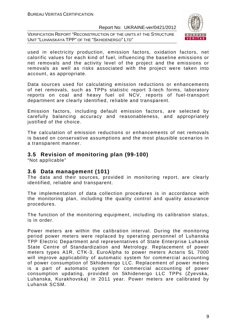VERIFICATION REPORT "RECONSTRUCTION OF THE UNITS AT THE STRUCTURE UNIT "LUHANSKAYA TPP" OF THE "SKHIDENERGO" LTD"



used in electricity production, emission factors, oxidation factors, net calorific values for each kind of fuel, influencing the baseline emissions or net removals and the activity level of the project and the emissions or removals as well as risks associated with the project were taken into account, as appropriate.

Data sources used for calculating emission reductions or enhancements of net removals, such as TPPs statistic report 3-tech forms, laboratory reports on coal and heavy fuel oil NCV, reports of fuel-transport department are clearly identified, reliable and transparent.

Emission factors, including default emission factors, are selected by carefully balancing accuracy and reasonableness, and appropriately justified of the choice.

The calculation of emission reductions or enhancements of net removals is based on conservative assumptions and the most plausible scenarios in a transparent manner.

#### **3.5 Revision of monitoring plan (99-100)**

"Not applicable"

#### **3.6 Data management (101)**

The data and their sources, provided in monitoring report, are clearly identified, reliable and transparent.

The implementation of data collection procedures is in accordance with the monitoring plan, including the quality control and quality assurance procedures.

The function of the monitoring equipment, including its calibration status, is in order.

Power meters are within the calibration interval. During the monitoring period power meters were replaced by operating personnel of Luhanska TPP Electric Department and representatives of State Enterprise Luhansk State Centre of Standardization and Metrology. Replacement of power meters types A1R, CTK-3, EuroAlpha to power meters Actaris SL 7000 will improve applicability of automatic system for commercial accounting of power consumption of Skhidenergo LLC. Replacement of power meters is a part of automatic system for commercial accounting of power consumption updating, provided on Skhidenergo LLC TPPs (Zyevska, Luhanska, Kurakhovska) in 2011 year. Power meters are calibrated by Luhansk SCSM.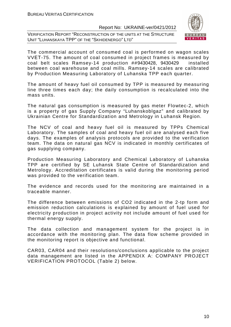VERIFICATION REPORT "RECONSTRUCTION OF THE UNITS AT THE STRUCTURE UNIT "LUHANSKAYA TPP" OF THE "SKHIDENERGO" LTD"



The commercial account of consumed coal is performed on wagon scales VVЕТ-75. The amount of coal consumed in project frames is measured by coal belt scales Ramsey-14 production ##9430428, 9430429 installed between coal warehouse and coal mills. Ramsey-14 scales are calibrated by Production Measuring Laboratory of Luhanska TPP each quarter.

The amount of heavy fuel oil consumed by TPP is measured by measuring line three times each day; the daily consumption is recalculated into the mass units.

The natural gas consumption is measured by gas meter Flowtec-2, which is a property of gas Supply Company "Luhanskoblgaz" and calibrated by Ukrainian Centre for Standardization and Metrology in Luhansk Region.

The NCV of coal and heavy fuel oil is measured by TPPs Chemical Laboratory. The samples of coal and heavy fuel oil are analysed each five days. The examples of analysis protocols are provided to the verification team. The data on natural gas NCV is indicated in monthly certificates of gas supplying company.

Production Measuring Laboratory and Chemical Laboratory of Luhanska TPP are certified by SE Luhansk State Centre of Standardization and Metrology. Accreditation certificates is valid during the monitoring period was provided to the verification team.

The evidence and records used for the monitoring are maintained in a traceable manner.

The difference between emissions of CO2 indicated in the 2-tp form and emission reduction calculations is explained by amount of fuel used for electricity production in project activity not include amount of fuel used for thermal energy supply.

The data collection and management system for the project is in accordance with the monitoring plan. The data flow scheme provided in the monitoring report is objective and functional.

CAR03, CAR04 and their resolutions/conclusions applicable to the project data management are listed in the APPENDIX A: COMPANY PROJECT VERIFICATION PROTOCOL (Table 2) below.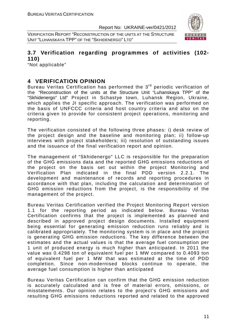VERIFICATION REPORT "RECONSTRUCTION OF THE UNITS AT THE STRUCTURE UNIT "LUHANSKAYA TPP" OF THE "SKHIDENERGO" LTD"



#### **3.7 Verification regarding programmes of activities (102- 110)**

"Not applicable"

#### **4 VERIFICATION OPINION**

Bureau Veritas Certification has performed the 3<sup>rd</sup> periodic verification of the "Reconstruction of the units at the Structure Unit "Luhanskaya TPP" of the "Skhidenergo" Ltd" Project in Schastye town, Luhansk Region, Ukraine, which applies the JI specific approach. The verification was performed on the basis of UNFCCC criteria and host country criteria and also on the criteria given to provide for consistent project operations, monitoring and reporting.

The verification consisted of the following three phases: i) desk review of the project design and the baseline and monitoring plan; ii) follow-up interviews with project stakeholders; iii) resolution of outstanding issues and the issuance of the final verification report and opinion.

The management of "Skhidenergo" LLC is responsible for the preparation of the GHG emissions data and the reported GHG emissions reductions of the project on the basis set out within the project Monitoring and Verification Plan indicated in the final PDD version 2.2.1. The development and maintenance of records and reporting procedures in accordance with that plan, including the calculation and determination of GHG emission reductions from the project, is the responsibility of the management of the project.

Bureau Veritas Certification verified the Project Monitoring Report version 1.1 for the reporting period as indicated below. Bureau Veritas Certification confirms that the project is implemented as planned and described in approved project design documents. Installed equipment being essential for generating emission reduction runs reliably and is calibrated appropriately. The monitoring system is in place and the project is generating GHG emission reductions. The key difference between the estimates and the actual values is that the average fuel consumption per 1 unit of produced energy is much higher than anticipated. In 2011 the value was 0.4298 ton of equivalent fuel per 1 MW compared to 0.4093 ton of equivalent fuel per 1 MW that was estimated at the time of PDD completion. Since non-modernised blocks continue to operate, the average fuel consumption is higher than anticipated

Bureau Veritas Certification can confirm that the GHG emission reduction is accurately calculated and is free of material errors, omissions, or misstatements. Our opinion relates to the project's GHG emissions and resulting GHG emissions reductions reported and related to the approved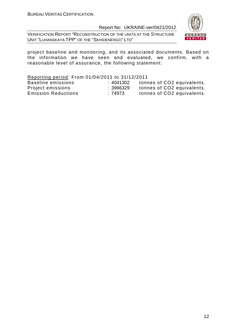VERIFICATION REPORT "RECONSTRUCTION OF THE UNITS AT THE STRUCTURE UNIT "LUHANSKAYA TPP" OF THE "SKHIDENERGO" LTD"



project baseline and monitoring, and its associated documents. Based on the information we have seen and evaluated, we confirm, with a reasonable level of assurance, the following statement:

Reporting period: From 01/04/2011 to 31/12/2011 Baseline emissions : 4041302 tonnes of CO2 equivalents.<br>
Project emissions : 3966329 tonnes of CO2 equivalents.<br>
Emission Reductions : 74973 tonnes of CO2 equivalents. Project emissions : 3966329 tonnes of CO2 equivalents. Emission Reductions : 74973 tonnes of CO2 equivalents.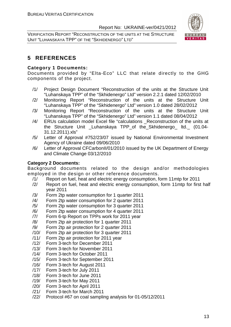VERIFICATION REPORT "RECONSTRUCTION OF THE UNITS AT THE STRUCTURE UNIT "LUHANSKAYA TPP" OF THE "SKHIDENERGO" LTD"



#### **5 REFERENCES**

#### **Category 1 Documents:**

Documents provided by "Elta-Eco" LLC that relate directly to the GHG components of the project.

- /1/ Project Design Document "Reconstruction of the units at the Structure Unit "Luhanskaya TPP" of the "Skhidenergo" Ltd" version 2.2.1 dated 12/02/2010
- /2/ Monitoring Report "Reconstruction of the units at the Structure Unit "Luhanskaya TPP" of the "Skhidenergo" Ltd" version 1.0 dated 28/02/2012
- /3/ Monitoring Report "Reconstruction of the units at the Structure Unit "Luhanskaya TPP" of the "Skhidenergo" Ltd" version 1.1 dated 08/04/2012
- /4/ ERUs calculation model Excel file "calculations \_Reconstruction of the units at the Structure Unit \_Luhanskaya TPP\_of the\_Skhidenergo\_ ltd.\_ (01.04- 31.12.2011).xls"
- /5/ Letter of Approval #752/23/07 issued by National Environmental Investment Agency of Ukraine dated 09/06/2010
- /6/ Letter of Approval CFCarbonII/01/2010 issued by the UK Department of Energy and Climate Change 03/12/2010

#### **Category 2 Documents:**

Background documents related to the design and/or methodologies employed in the design or other reference documents.

- /1/ Report on fuel, heat and electric energy consumption, form 11mtp for 2011
- /2/ Report on fuel, heat and electric energy consumption, form 11mtp for first half year 2011
- /3/ Form 2tp water consumption for 1 quarter 2011
- /4/ Form 2tp water consumption for 2 quarter 2011
- /5/ Form 2tp water consumption for 3 quarter 2011
- /6/ Form 2tp water consumption for 4 quarter 2011
- /7/ Form 6-tp Report on TPPs work for 2011 year
- /8/ Form 2tp air protection for 1 quarter 2011
- /9/ Form 2tp air protection for 2 quarter 2011
- /10/ Form 2tp air protection for 3 quarter 2011
- /11/ Form 2tp air protection for 2011 year
- /12/ Form 3-tech for December 2011
- /13/ Form 3-tech for November 2011
- /14/ Form 3-tech for October 2011
- /15/ Form 3-tech for September 2011
- /16/ Form 3-tech for August 2011
- /17/ Form 3-tech for July 2011
- /18/ Form 3-tech for June 2011
- /19/ Form 3-tech for May 2011
- /20/ Form 3-tech for April 2011
- /21/ Form 3-tech for March 2011
- /22/ Protocol #67 on coal sampling analysis for 01-05/12/2011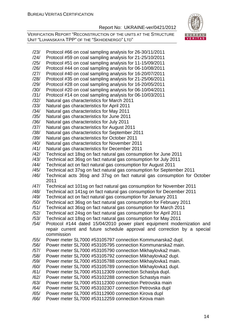

- /23/ Protocol #66 on coal sampling analysis for 26-30/11/2011
- /24/ Protocol #59 on coal sampling analysis for 21-25/10/2011 /25/ Protocol #51 on coal sampling analysis for 11-15/09/2011
- /26/ Protocol #44 on coal sampling analysis for 06-10/08/2011
- /27/ Protocol #40 on coal sampling analysis for 16-20/07/2011
- /28/ Protocol #35 on coal sampling analysis for 21-25/06/2011
- /29/ Protocol #28 on coal sampling analysis for 16-20/05/2011
- /30/ Protocol #20 on coal sampling analysis for 06-10/04/2011
- /31/ Protocol #14 on coal sampling analysis for 06-10/03/2011
- /32/ Natural gas characteristics for March 2011
- /33/ Natural gas characteristics for April 2011
- /34/ Natural gas characteristics for May 2011
- /35/ Natural gas characteristics for June 2011
- /36/ Natural gas characteristics for July 2011
- /37/ Natural gas characteristics for August 2011
- /38/ Natural gas characteristics for September 2011
- /39/ Natural gas characteristics for October 2011
- /40/ Natural gas characteristics for November 2011
- /41/ Natural gas characteristics for December 2011
- /42/ Technical act 18sg on fact natural gas consumption for June 2011
- /43/ Technical act 36sg on fact natural gas consumption for July 2011
- /44/ Technical act on fact natural gas consumption for August 2011
- /45/ Technical act 37sg on fact natural gas consumption for September 2011
- /46/ Technical acts 36sg and 37sg on fact natural gas consumption for October 2011
- /47/ Technical act 101sg on fact natural gas consumption for November 2011
- /48/ Technical act 141sg on fact natural gas consumption for December 2011
- /49/ Technical act on fact natural gas consumption for January 2011
- /50/ Technical act 36sg on fact natural gas consumption for February 2011
- /51/ Technical act 36sg on fact natural gas consumption for March 2011
- /52/ Technical act 24sg on fact natural gas consumption for April 2011
- /53/ Technical act 18sg on fact natural gas consumption for May 2011
- /54/ Protocol #144 dated 15/04/2010 power plant equipment modernization and repair current and future schedule approval and correction by a special commission
- /55/ Power meter SL7000 #53105797 connection Kommunarska2 dupl.
- /56/ Power meter SL7000 #53105795 connection Kommunarska2 main.
- /57/ Power meter SL7000 #53105790 connection Mikhaylovka2 main.
- /58/ Power meter SL7000 #53105792 connection Mikhaylovka2 dupl.
- /59/ Power meter SL7000 #53105788 connection Mikhaylovka1 main.
- /60/ Power meter SL7000 #53105789 connection Mikhaylovka1 dupl.
- /61/ Power meter SL7000 #53112309 connection Schastya dupl.
- /62/ Power meter SL7000 #53102288 connection Schastya main
- /63/ Power meter SL7000 #53112300 connection Petrovska main
- /64/ Power meter SL7000 #53102307 connection Petrovska dupl
- /65/ Power meter SL7000 #53112900 connection Kirova dupl
- /66/ Power meter SL7000 #53112259 connection Kirova main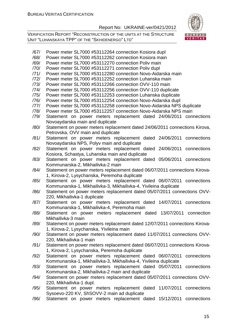VERIFICATION REPORT "RECONSTRUCTION OF THE UNITS AT THE STRUCTURE UNIT "LUHANSKAYA TPP" OF THE "SKHIDENERGO" LTD"



/67/ Power meter SL7000 #53112264 connection Kosiora dupl /68/ Power meter SL7000 #53112262 connection Kosiora main /69/ Power meter SL7000 #53112270 connection Poliv main /70/ Power meter SL7000 #53112271 connection Poliv dupl /71/ Power meter SL7000 #53112280 connection Novo-Aidarska main /72/ Power meter SL7000 #53112252 connection Luhanska main /73/ Power meter SL7000 #53112266 connection OVV-110 main /74/ Power meter SL7000 #53112256 connection OVV-110 duplicate /75/ Power meter SL7000 #53112253 connection Luhanska duplicate /76/ Power meter SL7000 #53112254 connection Novo-Aidarska dupl /77/ Power meter SL7000 #53112258 connection Novo-Aidarska NPS duplicate /78/ Power meter SL7000 #53112257 connection Novo-Aidarska NPS main /79/ Statement on power meters replacement dated 24/06/2011 connections Novoaydarska main and duplicate /80/ Statement on power meters replacement dated 24/06/2011 connections Kirova, Petrovska, OVV main and duplicate /81/ Statement on power meters replacement dated 24/06/2011 connections Novoaydarska NPS, Polyv main and duplicate /82/ Statement on power meters replacement dated 24/06/2011 connections Kosiora, Schastya, Luhanska main and duplicate /83/ Statement on power meters replacement dated 05/06/2011 connections Kommunarska-2, Mikhailivka-2 main /84/ Statement on power meters replacement dated 06/07/2011 connections Kirova-1, Kirova-2, Lysychanska, Peremoha duplicate /85/ Statement on power meters replacement dated 06/07/2011 connections Kommunarska-1, Mikhailivka-3, Mikhailivka-4, Yivileina duplicate /86/ Statement on power meters replacement dated 05/07/2011 connections OVV-220, Mikhailivka-1 duplicate /87/ Statement on power meters replacement dated 14/07/2011 connections Kommunarska-1, Mikhailivka-4, Peremoha main /88/ Statement on power meters replacement dated 13/07/2011 connection Mikhailivka-3 main /89/ Statement on power meters replacement dated 12/07/2011 connections Kirova-1, Kirova-2, Lysychanska, Yivileina main /90/ Statement on power meters replacement dated 11/07/2011 connections OVV-220, Mikhailivka-1 main /91/ Statement on power meters replacement dated 06/07/2011 connections Kirova-1, Kirova-2, Lysychanska, Peremoha duplicate /92/ Statement on power meters replacement dated 06/07/2011 connections Kommunarska-1, Mikhailivka-3, Mikhailivka-4, Yivileina duplicate /93/ Statement on power meters replacement dated 05/07/2011 connections Kommunarska-2, Mikhailivka-2 main and duplicate /94/ Statement on power meters replacement dated 05/07/2011 connections OVV-220, Mikhailivka-1 dupl. /95/ Statement on power meters replacement dated 11/07/2011 connections Sysoevo-220 KV, ShSOVV-2 main ad duplicate /96/ Statement on power meters replacement dated 15/12/2011 connections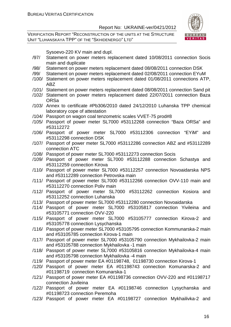VERIFICATION REPORT "RECONSTRUCTION OF THE UNITS AT THE STRUCTURE UNIT "LUHANSKAYA TPP" OF THE "SKHIDENERGO" LTD"



Sysoevo-220 KV main and dupl.

- /97/ Statement on power meters replacement dated 10/08/2011 connection Socis main and duplicate
- /98/ Statement on power meters replacement dated 08/08/2011 connection DSK
- /99/ Statement on power meters replacement dated 02/08/2011 connection EYuM
- /100/ Statement on power meters replacement dated 01/08/2011 connections ATP, ABZ
- /101/ Statement on power meters replacement dated 08/08/2011 connection Sand pit
- /102/ Statement on power meters replacement dated 22/07/2011 connection Baza ORSa
- /103/ Annex to certificate #Pb306/2010 dated 24/12/2010 Luhanska TPP chemical laboratory cope of attestation
- /104/ Passport on wagon coal tenzometric scales VVET-75 prod#8
- /105/ Passport of power meter SL7000 #53112268 connection "Baza ORSa" and #53112272
- /106/ Passport of power meter SL7000 #53112306 connection "EYiM" and #53112298 connection DSK
- /107/ Passport of power meter SL7000 #53112286 connection ABZ and #53112289 connection ATC
- /108/ Passport of power meter SL7000 #53112273 connection Socis
- /109/ Passport of power meter SL7000 #53112288 connection Schastya and #53112259 connection Kirova
- /110/ Passport of power meter SL7000 #53112257 connection Novoaidarska NPS and #53112289 connection Petrovska main
- /111/ Passport of power meter SL7000 #53112266 connection OVV-110 main and #53112270 connection Poliv main
- /112/ Passport of power meter SL7000 #53112262 connection Kosiora and #53112252 connection Luhanska
- /113/ Passport of power meter SL7000 #53112280 connection Novoaidarska
- /114/ Passport of power meter SL7000 #53105817 connection Yivileina and #53105771 connection OVV-220
- /115/ Passport of power meter SL7000 #53105777 connection Kirova-2 and #53105778 connection Lysychanska
- /116/ Passport of power meter SL7000 #53105795 connection Kommunarska-2 main and #53105785 connection Kirova-1 main
- /117/ Passport of power meter SL7000 #53105790 connection Mykhailovka-2 main and #53105788 connection Mykhailovka -1 main
- /118/ Passport of power meter SL7000 #53105816 connection Mykhailovka-4 main and #53105798 connection Mykhailovka -4 main
- /119/ Passport of power meter EA #01198748, 01198730 connection Kirova-1
- /120/ Passport of power meter EA #01198743 connection Komunarska-2 and #01198719 connection Komunarska-1
- /121/ Passport of power meter EA #01198736 connection OVV-220 and #01198717 connection Juvileina
- /122/ Passport of power meter EA #01198746 connection Lysychanska and #01198723 connection Peremoha
- /123/ Passport of power meter EA #01198727 connection Mykhailivka-2 and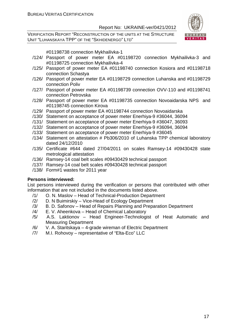VERIFICATION REPORT "RECONSTRUCTION OF THE UNITS AT THE STRUCTURE UNIT "LUHANSKAYA TPP" OF THE "SKHIDENERGO" LTD"



#01198738 connection Mykhailivka-1

- /124/ Passport of power meter EA #01198720 connection Mykhailivka-3 and #01198725 connection Mykhailivka-4
- /125/ Passport of power meter EA #01198740 connection Kosiora and #01198718 connection Schastya
- /126/ Passport of power meter EA #01198729 connection Luhanska and #01198729 connection Poliv
- /127/ Passport of power meter EA #01198739 connection OVV-110 and #01198741 connection Petrovska
- /128/ Passport of power meter EA #01198735 connection Novoaidarska NPS and #01198745 connection Kirova
- /129/ Passport of power meter EA #01198744 connection Novoaidarska
- /130/ Statement on acceptance of power meter Enerhiya-9 #36044, 36094
- /131/ Statement on acceptance of power meter Enerhiya-9 #36047, 36093
- /132/ Statement on acceptance of power meter Enerhiya-9 #36094, 36094
- /133/ Statement on acceptance of power meter Enerhiya-9 #36045
- /134/ Statement on attestation # Pb306/2010 of Luhanska TPP chemical laboratory dated 24/12/2010
- /135/ Certificate #644 dated 27/04/2011 on scales Ramsey-14 #09430428 state metrological attestation
- /136/ Ramsey-14 coal belt scales #09430429 technical passport
- /137/ Ramsey-14 coal belt scales #09430428 technical passport
- /138/ Form#1 wastes for 2011 year

#### **Persons interviewed:**

List persons interviewed during the verification or persons that contributed with other information that are not included in the documents listed above.

- /1/ O. N. Maslov Head of Technical-Production Department
- /2/ D. N Buimirskiy Vice-Head of Ecology Department
- /3/ B. D. Safonov Head of Repairs Planning and Preparation Department
- /4/ E. V. Aheenkova Head of Chemical Laboratory
- /5/ A.S. Laktionov Head Engineer-Technologist of Heat Automatic and Measuring Department
- /6/ V. A. Staritskaya 4-grade wireman of Electric Department
- /7/ M.I. Rohovoy representative of "Elta-Eco" LLC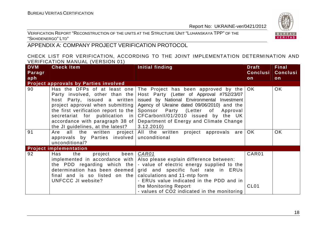VERIFICATION REPORT "RECONSTRUCTION OF THE UNITS AT THE STRUCTURE UNIT "LUHANSKAYA TPP" OF THE "SKHIDENERGO" <sup>L</sup>TD"

### APPENDIX A: COMPANY PROJECT VERIFICATION PROTOCOL

#### CHECK LIST FOR VERIFICATION, ACCORDING TO THE JOINT IMPLEMENTATION DETERMINATION AND VERIFICATION MANUAL (VERSION 01)

| <b>DVM</b> | . 1<br><b>Check Item</b>                                      | Initial finding                                                                | <b>Draft</b>     | Final           |
|------------|---------------------------------------------------------------|--------------------------------------------------------------------------------|------------------|-----------------|
| Paragr     |                                                               |                                                                                | <b>Conclusi</b>  | <b>Conclusi</b> |
| aph        |                                                               |                                                                                | on               | on              |
|            | Project approvals by Parties involved                         |                                                                                |                  |                 |
| 90         |                                                               | Has the DFPs of at least one The Project has been approved by the              | OK.              | OK              |
|            |                                                               | Party involved, other than the Host Party (Letter of Approval #752/23/07       |                  |                 |
|            | host Party, issued a written                                  | issued by National Environmental Investment                                    |                  |                 |
|            |                                                               | project approval when submitting Agency of Ukraine dated 09/06/2010) and the   |                  |                 |
|            |                                                               | the first verification report to the $\beta$ Sponsor Party (Letter of Approval |                  |                 |
|            |                                                               | secretariat for publication in CFCarbonII/01/2010 issued by the UK             |                  |                 |
|            |                                                               | accordance with paragraph 38 of   Department of Energy and Climate Change      |                  |                 |
|            | the JI guidelines, at the latest?                             | 3.12.2010                                                                      |                  |                 |
| 91         | Are                                                           | all the written project All the written project approvals are                  | OK.              | <b>OK</b>       |
|            | approvals by Parties involved unconditional                   |                                                                                |                  |                 |
|            | unconditional?                                                |                                                                                |                  |                 |
|            | <b>Project implementation</b>                                 |                                                                                |                  |                 |
| 92         | been<br>the<br>project<br>Has                                 | CAR01                                                                          | CAR01            |                 |
|            |                                                               | implemented in accordance with $\vert$ Also please explain difference between: |                  |                 |
|            |                                                               | the PDD regarding which the $\vert$ - value of electric energy supplied to the |                  |                 |
|            |                                                               | determination has been deemed $ $ grid and specific fuel rate in ERUs          |                  |                 |
|            | final and is so listed on the calculations and $11$ -mtp form |                                                                                |                  |                 |
|            | UNFCCC JI website?                                            | - ERUs value indicated in the PDD and in                                       |                  |                 |
|            |                                                               | the Monitoring Report                                                          | CL <sub>01</sub> |                 |
|            |                                                               | - values of CO2 indicated in the monitoring                                    |                  |                 |

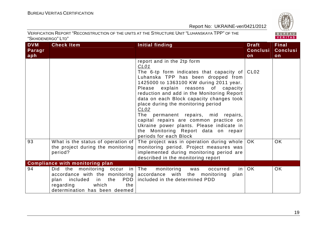

| <b>DVM</b><br>Paragr | <b>Check Item</b>                                                                                                                       | <b>Initial finding</b>                                                                                                                                                                                                                                                                                                                                                                                                                                                                                                                                | <b>Draft</b><br><b>Conclusi</b> | <b>Final</b><br><b>Conclusi</b> |
|----------------------|-----------------------------------------------------------------------------------------------------------------------------------------|-------------------------------------------------------------------------------------------------------------------------------------------------------------------------------------------------------------------------------------------------------------------------------------------------------------------------------------------------------------------------------------------------------------------------------------------------------------------------------------------------------------------------------------------------------|---------------------------------|---------------------------------|
| aph                  |                                                                                                                                         |                                                                                                                                                                                                                                                                                                                                                                                                                                                                                                                                                       | on                              | on                              |
|                      |                                                                                                                                         | report and in the 2tp form<br>CL01<br>The 6-tp form indicates that capacity of $ CL02 $<br>Luhanska TPP has been dropped from<br>1425000 to 1363100 KW during 2011 year.<br>Please explain reasons of capacity<br>reduction and add in the Monitoring Report<br>data on each Block capacity changes took<br>place during the monitoring period<br>CLO2<br>The permanent repairs, mid repairs,<br>capital repairs are common practice on<br>Ukraine power plants. Please indicate in<br>the Monitoring Report data on repair<br>periods for each Block |                                 |                                 |
| 93                   | What is the status of operation of<br>the project during the monitoring<br>period?                                                      | The project was in operation during whole<br>monitoring period. Project measures was<br>implemented during monitoring period are<br>described in the monitoring report                                                                                                                                                                                                                                                                                                                                                                                | OK.                             | <b>OK</b>                       |
|                      | <b>Compliance with monitoring plan</b>                                                                                                  |                                                                                                                                                                                                                                                                                                                                                                                                                                                                                                                                                       |                                 |                                 |
| 94                   | the monitoring occur in The<br>Did<br>PDD  <br>included in<br>the<br>plan<br>which<br>the<br>regarding<br>determination has been deemed | monitoring<br>in I<br>occurred<br>was<br>accordance with the monitoring accordance with the monitoring<br>plan<br>included in the determined PDD                                                                                                                                                                                                                                                                                                                                                                                                      | OK                              | <b>OK</b>                       |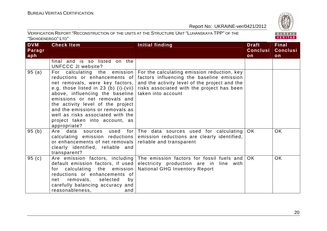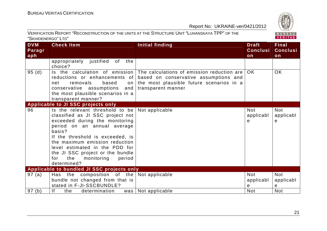

| <b>DVM</b><br>Paragr | <b>Check Item</b>                                                                                                                                                                                                                                                                                                                               | <b>Initial finding</b>                                                                                                                                                               | <b>Draft</b><br><b>Conclusi</b> | <b>Final</b><br><b>Conclusi</b> |
|----------------------|-------------------------------------------------------------------------------------------------------------------------------------------------------------------------------------------------------------------------------------------------------------------------------------------------------------------------------------------------|--------------------------------------------------------------------------------------------------------------------------------------------------------------------------------------|---------------------------------|---------------------------------|
| aph                  |                                                                                                                                                                                                                                                                                                                                                 |                                                                                                                                                                                      | on                              | on                              |
|                      | appropriately justified of the<br>choice?                                                                                                                                                                                                                                                                                                       |                                                                                                                                                                                      |                                 |                                 |
| 95(d)                | reductions or enhancements of<br>removals<br>based<br>net<br>on<br>conservative assumptions and<br>the most plausible scenarios in a<br>transparent manner?                                                                                                                                                                                     | Is the calculation of emission The calculations of emission reduction are<br>based on conservative assumptions and<br>the most plausible future scenarios in a<br>transparent manner | <b>OK</b>                       | <b>OK</b>                       |
|                      | Applicable to JI SSC projects only                                                                                                                                                                                                                                                                                                              |                                                                                                                                                                                      |                                 |                                 |
| 96                   | Is the relevant threshold to be<br>classified as JI SSC project not<br>exceeded during the monitoring<br>period on an annual average<br>basis?<br>If the threshold is exceeded, is<br>the maximum emission reduction<br>level estimated in the PDD for<br>the JI SSC project or the bundle<br>the<br>monitoring<br>for<br>period<br>determined? | Not applicable                                                                                                                                                                       | <b>Not</b><br>applicabl<br>е    | <b>Not</b><br>applicabl<br>е    |
|                      | Applicable to bundled JI SSC projects only                                                                                                                                                                                                                                                                                                      |                                                                                                                                                                                      |                                 |                                 |
| 97(a)                | Has the composition of the<br>bundle not changed from that is<br>stated in F-JI-SSCBUNDLE?                                                                                                                                                                                                                                                      | Not applicable                                                                                                                                                                       | <b>Not</b><br>applicabl<br>е    | <b>Not</b><br>applicabl<br>е    |
| 97(b)                | f <br>the<br>determination                                                                                                                                                                                                                                                                                                                      | was   Not applicable                                                                                                                                                                 | <b>Not</b>                      | <b>Not</b>                      |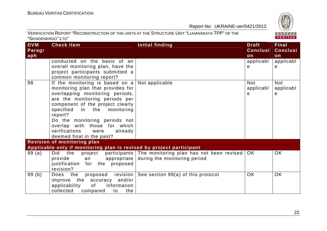

| <b>DVM</b> | <b>Check Item</b>                                                                                                                          | <b>Initial finding</b>                                | <b>Draft</b>    | <b>Final</b>    |
|------------|--------------------------------------------------------------------------------------------------------------------------------------------|-------------------------------------------------------|-----------------|-----------------|
| Paragr     |                                                                                                                                            |                                                       | <b>Conclusi</b> | <b>Conclusi</b> |
| aph        |                                                                                                                                            |                                                       | on              | on              |
|            | conducted on the basis of an                                                                                                               |                                                       | applicabl       | applicab        |
|            | overall monitoring plan, have the                                                                                                          |                                                       | e               | e               |
|            | project participants submitted a                                                                                                           |                                                       |                 |                 |
|            | common monitoring report?                                                                                                                  |                                                       |                 |                 |
| 98         | If the monitoring is based on $a \mid Not$ applicable                                                                                      |                                                       | <b>Not</b>      | <b>Not</b>      |
|            | monitoring plan that provides for                                                                                                          |                                                       | applicabl       | applicabl       |
|            | overlapping monitoring periods,                                                                                                            |                                                       | e               | e               |
|            | are the monitoring periods per                                                                                                             |                                                       |                 |                 |
|            | component of the project clearly                                                                                                           |                                                       |                 |                 |
|            | specified in the monitoring                                                                                                                |                                                       |                 |                 |
|            | report?                                                                                                                                    |                                                       |                 |                 |
|            | Do the monitoring periods not                                                                                                              |                                                       |                 |                 |
|            | overlap with those for which                                                                                                               |                                                       |                 |                 |
|            | verifications<br>were<br>already                                                                                                           |                                                       |                 |                 |
|            | deemed final in the past?                                                                                                                  |                                                       |                 |                 |
|            | Revision of monitoring plan                                                                                                                |                                                       |                 |                 |
|            | Applicable only if monitoring plan is revised by project participant                                                                       |                                                       |                 |                 |
| 99(a)      | Did the project                                                                                                                            | participants The monitoring plan has not been revised | OK.             | <b>OK</b>       |
|            | provide<br>appropriate  <br>an an an an an am am am an an an am an am an an am an an am an am an am an an am an am an am an am an am an am | during the monitoring period                          |                 |                 |
|            | justification for the proposed                                                                                                             |                                                       |                 |                 |
|            | revision?                                                                                                                                  |                                                       |                 |                 |
| 99(b)      | Does the<br>proposed revision                                                                                                              | See section 99(a) of this protocol                    | OK              | OK              |
|            | improve the accuracy and/or                                                                                                                |                                                       |                 |                 |
|            | of<br>information<br>applicability                                                                                                         |                                                       |                 |                 |
|            | collected compared<br>the<br>to                                                                                                            |                                                       |                 |                 |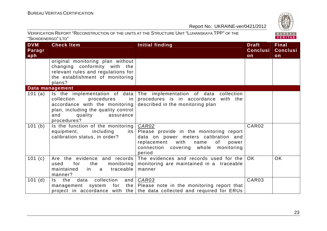

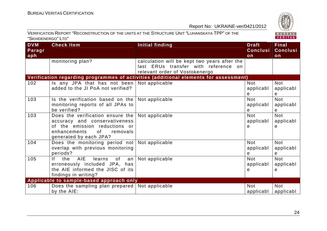

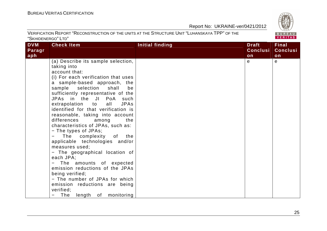| <b>DVM</b> | <b>Check Item</b>                                                                                                                                                                                                                                                                                                                                                                                                                                                                                                                                                                                                                                                                                                                                                                   | <b>Initial finding</b> | <b>Draft</b>    | <b>Final</b>    |
|------------|-------------------------------------------------------------------------------------------------------------------------------------------------------------------------------------------------------------------------------------------------------------------------------------------------------------------------------------------------------------------------------------------------------------------------------------------------------------------------------------------------------------------------------------------------------------------------------------------------------------------------------------------------------------------------------------------------------------------------------------------------------------------------------------|------------------------|-----------------|-----------------|
| Paragr     |                                                                                                                                                                                                                                                                                                                                                                                                                                                                                                                                                                                                                                                                                                                                                                                     |                        | <b>Conclusi</b> | <b>Conclusi</b> |
| aph        |                                                                                                                                                                                                                                                                                                                                                                                                                                                                                                                                                                                                                                                                                                                                                                                     |                        | on              | on              |
|            | (a) Describe its sample selection,<br>taking into<br>account that:<br>(i) For each verification that uses<br>a sample-based approach, the<br>sample selection shall<br>be<br>sufficiently representative of the<br>JPAs in the JI PoA such<br>extrapolation to<br>all<br><b>JPAs</b><br>identified for that verification is<br>reasonable, taking into account<br>differences<br>the<br>among<br>characteristics of JPAs, such as:<br>- The types of JPAs;<br>The complexity of the<br>applicable technologies and/or<br>measures used;<br>- The geographical location of<br>each JPA;<br>The amounts of expected<br>emission reductions of the JPAs<br>being verified;<br>- The number of JPAs for which<br>emission reductions are being<br>verified;<br>The length of monitoring |                        | $\mathbf{e}$    | е               |

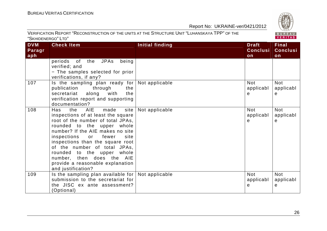| <b>DVM</b> | <b>Check Item</b>                                                                                                                                                                                                                                                                                                                                                                                          | Initial finding | <b>Draft</b>                 | <b>Final</b>                 |
|------------|------------------------------------------------------------------------------------------------------------------------------------------------------------------------------------------------------------------------------------------------------------------------------------------------------------------------------------------------------------------------------------------------------------|-----------------|------------------------------|------------------------------|
| Paragr     |                                                                                                                                                                                                                                                                                                                                                                                                            |                 | <b>Conclusi</b>              | <b>Conclusi</b>              |
| aph        |                                                                                                                                                                                                                                                                                                                                                                                                            |                 | on                           | on                           |
|            | of the JPAs<br>being<br>periods<br>verified; and                                                                                                                                                                                                                                                                                                                                                           |                 |                              |                              |
|            | - The samples selected for prior                                                                                                                                                                                                                                                                                                                                                                           |                 |                              |                              |
|            | verifications, if any?                                                                                                                                                                                                                                                                                                                                                                                     |                 |                              |                              |
| 107        | Is the sampling plan ready for<br>through<br>publication<br>the<br>secretariat<br>along<br>with<br>the<br>verification report and supporting<br>documentation?                                                                                                                                                                                                                                             | Not applicable  | <b>Not</b><br>applicabl<br>е | <b>Not</b><br>applicabl<br>e |
| 108        | made<br>AIE<br>site<br>the<br>Has<br>inspections of at least the square<br>root of the number of total JPAs,<br>rounded to the upper whole<br>number? If the AIE makes no site<br>inspections<br>or fewer<br>site<br>inspections than the square root<br>of the number of total JPAs,<br>rounded to the upper whole<br>number, then does the AIE<br>provide a reasonable explanation<br>and justification? | Not applicable  | <b>Not</b><br>applicabl<br>е | <b>Not</b><br>applicabl<br>e |
| 109        | Is the sampling plan available for $ $<br>submission to the secretariat for<br>the JISC ex ante assessment?<br>(Optional)                                                                                                                                                                                                                                                                                  | Not applicable  | <b>Not</b><br>applicabl<br>е | <b>Not</b><br>applicabl<br>e |

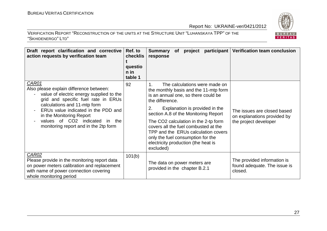

| Draft report clarification and corrective<br>action requests by verification team                                                                                                                                                                                                                                    | Ref. to<br>checklis<br>questio<br>n in<br>table 1 | Summary of project participant Verification team conclusion<br>response                                                                                                                                                                                                                                                                                                                                                          |                                                                                     |
|----------------------------------------------------------------------------------------------------------------------------------------------------------------------------------------------------------------------------------------------------------------------------------------------------------------------|---------------------------------------------------|----------------------------------------------------------------------------------------------------------------------------------------------------------------------------------------------------------------------------------------------------------------------------------------------------------------------------------------------------------------------------------------------------------------------------------|-------------------------------------------------------------------------------------|
| CAR01<br>Also please explain difference between:<br>value of electric energy supplied to the<br>grid and specific fuel rate in ERUs<br>calculations and 11-mtp form<br>ERUs value indicated in the PDD and<br>in the Monitoring Report<br>values of CO2 indicated<br>in the<br>monitoring report and in the 2tp form | 92                                                | The calculations were made on<br>the monthly basis and the 11-mtp form<br>is an annual one, so there could be<br>the difference.<br>2.<br>Explanation is provided in the<br>section A.8 of the Monitoring Report<br>The CO2 calculation in the 2-tp form<br>covers all the fuel combusted at the<br>TPP and the ERUs calculation covers<br>only the fuel consumption for the<br>electricity production (the heat is<br>excluded) | The issues are closed based<br>on explanations provided by<br>the project developer |
| <b>CAR02</b><br>Please provide in the monitoring report data<br>on power meters calibration and replacement<br>with name of power connection covering<br>whole monitoring period                                                                                                                                     | 101(b)                                            | The data on power meters are<br>provided in the chapter B.2.1                                                                                                                                                                                                                                                                                                                                                                    | The provided information is<br>found adequate. The issue is<br>closed.              |